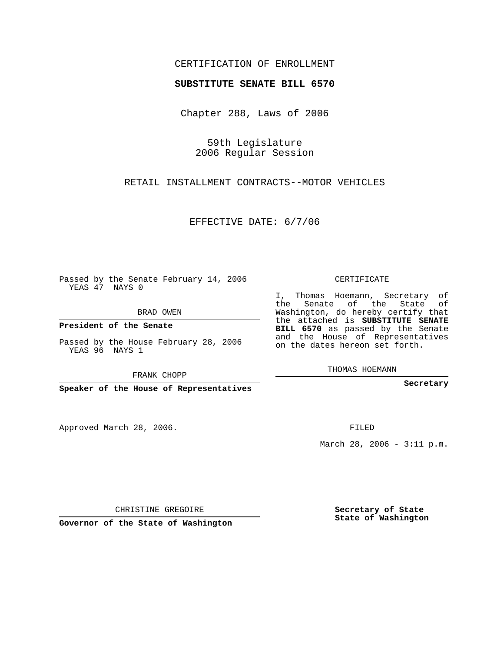## CERTIFICATION OF ENROLLMENT

## **SUBSTITUTE SENATE BILL 6570**

Chapter 288, Laws of 2006

59th Legislature 2006 Regular Session

RETAIL INSTALLMENT CONTRACTS--MOTOR VEHICLES

EFFECTIVE DATE: 6/7/06

Passed by the Senate February 14, 2006 YEAS 47 NAYS 0

BRAD OWEN

**President of the Senate**

Passed by the House February 28, 2006 YEAS 96 NAYS 1

FRANK CHOPP

**Speaker of the House of Representatives**

Approved March 28, 2006.

CERTIFICATE

I, Thomas Hoemann, Secretary of the Senate of the State of Washington, do hereby certify that the attached is **SUBSTITUTE SENATE BILL 6570** as passed by the Senate and the House of Representatives on the dates hereon set forth.

THOMAS HOEMANN

**Secretary**

FILED

March 28, 2006 - 3:11 p.m.

CHRISTINE GREGOIRE

**Governor of the State of Washington**

**Secretary of State State of Washington**